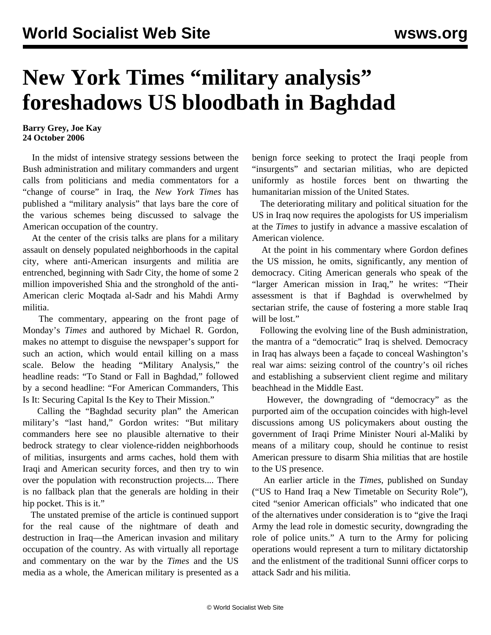## **New York Times "military analysis" foreshadows US bloodbath in Baghdad**

## **Barry Grey, Joe Kay 24 October 2006**

 In the midst of intensive strategy sessions between the Bush administration and military commanders and urgent calls from politicians and media commentators for a "change of course" in Iraq, the *New York Times* has published a "military analysis" that lays bare the core of the various schemes being discussed to salvage the American occupation of the country.

 At the center of the crisis talks are plans for a military assault on densely populated neighborhoods in the capital city, where anti-American insurgents and militia are entrenched, beginning with Sadr City, the home of some 2 million impoverished Shia and the stronghold of the anti-American cleric Moqtada al-Sadr and his Mahdi Army militia.

 The commentary, appearing on the front page of Monday's *Times* and authored by Michael R. Gordon, makes no attempt to disguise the newspaper's support for such an action, which would entail killing on a mass scale. Below the heading "Military Analysis," the headline reads: "To Stand or Fall in Baghdad," followed by a second headline: "For American Commanders, This Is It: Securing Capital Is the Key to Their Mission."

 Calling the "Baghdad security plan" the American military's "last hand," Gordon writes: "But military commanders here see no plausible alternative to their bedrock strategy to clear violence-ridden neighborhoods of militias, insurgents and arms caches, hold them with Iraqi and American security forces, and then try to win over the population with reconstruction projects.... There is no fallback plan that the generals are holding in their hip pocket. This is it."

 The unstated premise of the article is continued support for the real cause of the nightmare of death and destruction in Iraq—the American invasion and military occupation of the country. As with virtually all reportage and commentary on the war by the *Times* and the US media as a whole, the American military is presented as a benign force seeking to protect the Iraqi people from "insurgents" and sectarian militias, who are depicted uniformly as hostile forces bent on thwarting the humanitarian mission of the United States.

 The deteriorating military and political situation for the US in Iraq now requires the apologists for US imperialism at the *Times* to justify in advance a massive escalation of American violence.

 At the point in his commentary where Gordon defines the US mission, he omits, significantly, any mention of democracy. Citing American generals who speak of the "larger American mission in Iraq," he writes: "Their assessment is that if Baghdad is overwhelmed by sectarian strife, the cause of fostering a more stable Iraq will be lost."

 Following the evolving line of the Bush administration, the mantra of a "democratic" Iraq is shelved. Democracy in Iraq has always been a façade to conceal Washington's real war aims: seizing control of the country's oil riches and establishing a subservient client regime and military beachhead in the Middle East.

 However, the downgrading of "democracy" as the purported aim of the occupation coincides with high-level discussions among US policymakers about ousting the government of Iraqi Prime Minister Nouri al-Maliki by means of a military coup, should he continue to resist American pressure to disarm Shia militias that are hostile to the US presence.

 An earlier article in the *Times*, published on Sunday ("US to Hand Iraq a New Timetable on Security Role"), cited "senior American officials" who indicated that one of the alternatives under consideration is to "give the Iraqi Army the lead role in domestic security, downgrading the role of police units." A turn to the Army for policing operations would represent a turn to military dictatorship and the enlistment of the traditional Sunni officer corps to attack Sadr and his militia.